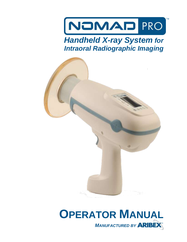

## *Handheld X-ray System for Intraoral Radiographic Imaging*



# **OPERATOR MANUAL MANUFACTURED BY ARIBEX**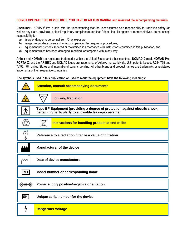#### **DO NOT OPERATE THIS DEVICE UNTIL YOU HAVE READ THIS MANUAL and reviewed the accompanying materials.**

**Disclaimer:** NOMAD® Pro is sold with the understanding that the user assumes sole responsibility for radiation safety (as well as any state, provincial, or local regulatory compliance) and that Aribex, Inc., its agents or representatives, do not accept responsibility for:

- a) injury or danger to personnel from X-ray exposure,
- b) image over/under exposure due to poor operating techniques or procedures,
- c) equipment not properly serviced or maintained in accordance with instructions contained in this publication, and
- d) equipment which has been damaged, modified, or tampered with in any way.

**Aribex** and **NOMAD** are registered trademarks within the United States and other countries. **NOMAD Dental**, **NOMAD Pro**, **PORTA-X**, and the ARIBEX and NOMAD logos are trademarks of Aribex, Inc. worldwide. U.S. patents issued: 7,224,769 and 7,496,178. United States and international patents pending. All other brand and product names are trademarks or registered trademarks of their respective companies.

**The symbols used in this publication or used to mark the equipment have the following meanings:**

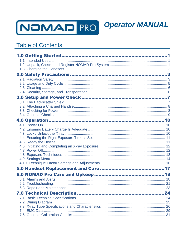

#### **Table of Contents**

|  | 24 |
|--|----|
|  |    |
|  |    |
|  |    |
|  |    |
|  |    |

**Operator MANUAL**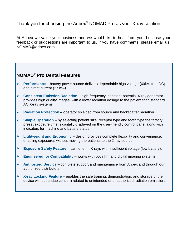Thank you for choosing the Aribex<sup>®</sup> NOMAD Pro as your X-ray solution!

At Aribex we value your business and we would like to hear from you, because your feedback or suggestions are important to us. If you have comments, please email us: NOMAD@aribex.com

#### **NOMAD® Pro Dental Features:**

- **Performance** battery power source delivers dependable high voltage (60kV, true DC) and direct current (2.5mA).
- **Consistent Emission Radiation** high-frequency, constant-potential X-ray generator provides high quality images, with a lower radiation dosage to the patient than standard AC X-ray systems.
- **Radiation Protection** operator shielded from source and backscatter radiation.
- **Simple Operation** by selecting patient size, receptor type and tooth type the factory preset exposure time is digitally displayed on the user-friendly control panel along with indicators for machine and battery status.
- **Lightweight and Ergonomic** design provides complete flexibility and convenience, enabling exposures without moving the patients to the X-ray source.
- **Exposure Safety Feature** cannot emit X-rays with insufficient voltage (low battery).
- **Engineered for Compatibility** works with both film and digital imaging systems.
- **Authorized Service** complete support and maintenance from Aribex and through our authorized distributors.
- **X-ray Locking Feature** enables the safe training, demonstration, and storage of the device without undue concern related to unintended or unauthorized radiation emission.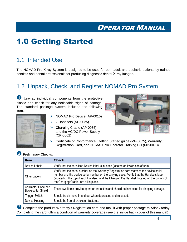## <span id="page-4-0"></span>1.0 Getting Started

### <span id="page-4-1"></span>1.1 Intended Use

The NOMAD Pro X-ray System is designed to be used for both adult and pediatric patients by trained dentists and dental professionals for producing diagnostic dental X-ray images.

### <span id="page-4-2"></span>1.2 Unpack, Check, and Register NOMAD Pro System

Unwrap individual components from the protective plastic and check for any noticeable signs of damage. The standard package system includes the following items:



- > NOMAD Pro Device (AP-0015)
- $\geq$  2 Handsets (AP-0025)
- Charging Cradle (AP-0035) and the AC/DC Power Supply (CP-0062)



 Certificate of Conformance, Getting Started guide (MP-0075), Warranty / Registration Card, and NOMAD Pro Operator Training CD (MP-0073)

#### **2** Preliminary Checks:

| <b>Item</b>                                             | <b>Check</b>                                                                                                                                                                                                                                                                                                                    |  |  |  |
|---------------------------------------------------------|---------------------------------------------------------------------------------------------------------------------------------------------------------------------------------------------------------------------------------------------------------------------------------------------------------------------------------|--|--|--|
| Device Labels                                           | Verify that the serialized Device label is in place (located on lower side of unit).                                                                                                                                                                                                                                            |  |  |  |
| Other Labels                                            | Verify that the serial number on the Warranty/Registration card matches the device serial<br>number and the device serial number on the carrying case. Verify that the Handsets label<br>(located on the top of each Handset) and the Charging Cradle label (located on the bottom of<br>the Charging Cradle) are all in place. |  |  |  |
| <b>Collimator Cone and</b><br><b>Backscatter Shield</b> | These two items provide operator protection and should be inspected for shipping damage.                                                                                                                                                                                                                                        |  |  |  |
| <b>Trigger Switch</b>                                   | Should freely move in and out when depressed and released.                                                                                                                                                                                                                                                                      |  |  |  |
| Device Housing                                          | Should be free of cracks or fractures.                                                                                                                                                                                                                                                                                          |  |  |  |

**B** Complete the product Warranty / Registration card and mail it with proper postage to Aribex today. Completing the card fulfills a condition of warranty coverage (see the inside back cover of this manual).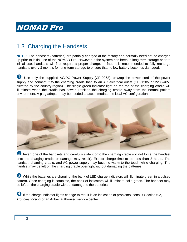### <span id="page-5-0"></span>1.3 Charging the Handsets

**NOTE**: The handsets (batteries) are partially charged at the factory and normally need not be charged up prior to initial use of the NOMAD Pro. However, if the system has been in long-term storage prior to iniitial use, handsets will first require a proper charge. In fact, it is recommended to fully recharge handsets every 3 months for long-term storage to ensure that no low battery becomes damaged.

U Use only the supplied AC/DC Power Supply (CP-0062), unwrap the power cord of the power supply and connect it to the charging cradle then to an AC electrical outlet (110/120V or 220/240V, dictated by the country/region). The single green indicator light on the top of the charging cradle will illuminate when the cradle has power. Position the charging cradle away from the normal patient environment. A plug adapter may be needed to accommodate the local AC configuration.



2 Invert one of the handsets and carefully slide it onto the charging cradle (do not force the handset onto the charging cradle or damage may result). Expect charge time to be less than 3 hours. The handset, charging cradle, and AC power supply may become warm to the touch while charging. The handset may be left on the charging cradle overnight without damaging the batteries.

 While the batteries are charging, the bank of LED charge indicators will illuminate green in a pulsed pattern. Once charging is complete, the bank of indicators will illuminate solid green. The handset may be left on the charging cradle without damage to the batteries.

4 If the charge indicator lights change to red, it is an indication of problems; consult Section 6.2, *Troubleshooting* or an Aribex authorized service center.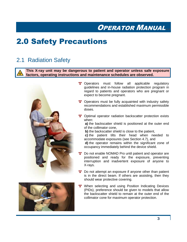## <span id="page-6-0"></span>2.0 Safety Precautions

#### <span id="page-6-1"></span>2.1 Radiation Safety

**This X-ray unit may be dangerous to patient and operator unless safe exposure factors, operating instructions and maintenance schedules are observed.**





- \*\* Operators must follow all applicable regulatory guidelines and in-house radiation protection program in regard to patients and operators who are pregnant or expect to become pregnant.
- Operators must be fully acquainted with industry safety recommendations and established maximum permissible doses.
- \*\* Optimal operator radiation backscatter protection exists when:

**a)** the backscatter shield is positioned at the outer end of the collimator cone,

**b)** the backscatter shield is close to the patient,

**c)** the patient tilts their head when needed to accommodate exposures (see Section 4.7), and

**d)** the operator remains within the significant zone of occupancy immediately behind the device shield.

- Do not enable NOMAD Pro until patient and operator are positioned and ready for the exposure, preventing interruption and inadvertent exposure of anyone to X-rays.
- <sup>1</sup> Do not attempt an exposure if anyone other than patient is in the direct beam. If others are assisting, then they should wear protective covering.
- \*\* When selecting and using Position Indicating Devices (PIDs), preference should be given to models that allow the backscatter shield to remain at the outer end of the collimator cone for maximum operator protection.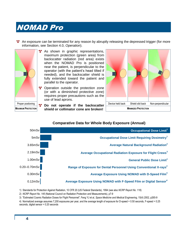An exposure can be terminated for any reason by abruptly releasing the depressed trigger (for more information, see Section 4.0, *Operation*).



As shown in graphic representations, maximum protection (green area) from backscatter radiation (red area) exists when the NOMAD Pro is positioned near the patient, is perpendicular to the operator (with the patient's head tilted if needed), and the backscatter shield is fully extended toward the patient and parallel to the operator.

- **<sup>\*</sup>** Operation outside the protection zone (or with a diminished protective zone) requires proper precautions such as the use of lead aprons.
- Proper postioning **A** Do not operate if the backscatter **MAXIMUM PROTECTION Shield or collimator cone are broken!**  $\vert$  **MINIMIZED PROTECTION**



#### **Occupational Dose Limit<sup>1</sup>** 50mSv 5mSv **Occupational Dose Limit Requiring Dosimetry<sup>1</sup> Average Natural Background Radiation<sup>2</sup>** 3.65mSv 2.19mSv **Average Occupational Radiation Exposure for Flight Crews<sup>3</sup>** 1.00mSv **General Public Dose Limit<sup>1</sup>** 0.30mSv **Average Exposure Using NOMAD with D-Speed Film<sup>4</sup> Average Exposure Using NOMAD with D-Speed Film<sup>4</sup>** 0.12mSv **Average Exposure Using NOMAD with F-Speed Film or Digital Sensor<sup>4</sup></del>** 0.20–0.70mSv **Range of Exposure for Dental Personnel Using Conventional X-rays<sup>2</sup>**

#### **Comparative Data for Whole Body Exposure (Annual)**

1) Standards for Protection Against Radiation, 10 CFR 20 (US Federal Standards), 1994 (see also *NCRP Report No. 116*)

2) *NCRP Report No. 145* (National Council on Radiation Protection and Measurements), p7-9

3) "Estimated Cosmic Radiation Doses for Flight Personnel", Feng YJ et al, *Space Medicine and Medical Engineering*, 15(4) 2002, p265-9

4) Normalized average assumes 7,200 exposures per year, and the average length of exposure for D-speed = 0.50 seconds, F-speed = 0.25 seconds, digital sensor = 0.20 seconds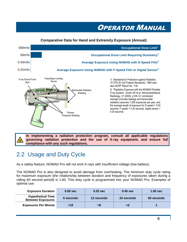#### **Occupational Dose Limit<sup>1</sup>** 500mSv 50mSv **Occupational Dose Limit Requiring Dosimetry<sup>1</sup> Average Exposure Using NOMAD with D-Speed Film<sup>2</sup>** 0.43mSv 0.22mSv **Average Exposure Using NOMAD with F-Speed Film or Digital Sensor<sup>2</sup></del>** 1) Standards for Protection against Radiation, 10 CFR 20 (US Federal Standards), 1994 (see also *NCRP Report No. 116*) 2) "Radiation Exposure with the NOMAD Portable X-ray System", Goren AD et al, Dentomaxillofacial Radiology, 37 (2008), p109-12; normalized average (includes leakage and backscatter radiation) assumes 7,200 exposures per year, and the average length of exposure for D-speed = 0.50 seconds, F-speed = 0.25 seconds, digital sensor = 0.20 seconds **Comparative Data for Hand and Extremity Exposure (Annual)** X-ray Source Focal Spot Fixed Beam Limiting Device Backscatter Radiation Shielding Primary Protective Shielding

**In implementing a radiation protection program, consult all applicable regulations governing radiation protection and the use of X-ray equipment, and ensure full compliance with any such regulations.**

### <span id="page-8-0"></span>2.2 Usage and Duty Cycle

As a safety feature, NOMAD Pro will not emit X-rays with insufficient voltage (low battery).

The NOMAD Pro is also designed to avoid damage from overheating. The minimum duty cycle rating for maximum exposure (the relationship between duration and frequency of exposures taken during a rolling 60 second period) is 1:60. This duty cycle is programmed into your NOMAD Pro. Examples of optimal use:

| <b>Exposure Duration</b>                             | $0.09$ sec | $0.20$ sec | $0.40$ sec | $1.00$ sec |
|------------------------------------------------------|------------|------------|------------|------------|
| <b>Hypothetical Time</b><br><b>Between Exposures</b> | 6 seconds  | 12 seconds | 24 seconds | 60 seconds |
| <b>Exposures Per Minute</b>                          | $>10$      | >8         | >2         |            |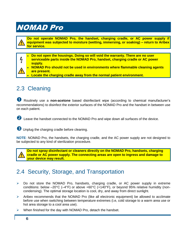

h

**Do not operate NOMAD Pro, the handset, charging cradle, or AC power supply if equipment was subjected to moisture (wetting, immersing, or soaking) – return to Aribex for service.**

**Do not open the housings. Doing so will void the warranty. There are no user serviceable parts inside the NOMAD Pro, handset, charging cradle or AC power supply.**

**NOMAD Pro should not be used in environments where flammable cleaning agents are present.**

**Locate the charging cradle away from the normal patient environment.**

### <span id="page-9-0"></span>2.3 Cleaning

 Routinely use a **non-acetone** based disinfectant wipe (according to chemical manufacturer's recommendations) to disinfect the exterior surfaces of the NOMAD Pro and the handset in between use on each patient.

2 Leave the handset connected to the NOMAD Pro and wipe down all surfaces of the device.

**B** Unplug the charging cradle before cleaning.

**NOTE**: NOMAD Pro, the handsets, the charging cradle, and the AC power supply are not designed to be subjected to any kind of sterilization procedure.



**Do not spray disinfectant or cleaners directly on the NOMAD Pro, handsets, charging cradle or AC power supply. The connecting areas are open to ingress and damage to your device may result.**

#### <span id="page-9-1"></span>2.4 Security, Storage, and Transportation

- $\triangleright$  Do not store the NOMAD Pro, handsets, charging cradle, or AC power supply in extreme conditions: below –20°C (–4°F) or above +60°C (+140°F), or beyond 95% relative humidity (noncondensing). The optimal storage location is cool, dry, and away from direct sunlight.
- $\triangleright$  Aribex recommends that the NOMAD Pro (like all electronic equipment) be allowed to acclimate before use when switching between temperature extremes (i.e, cold storage to a warm area use or hot area storage to a cool area use).
- $\triangleright$  When finished for the day with NOMAD Pro, detach the handset.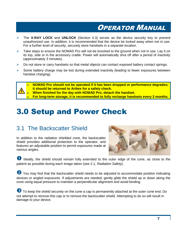- The **X-RAY LOCK** and **UNLOCK** (Section 4.3) serves as the device security key to prevent unauthorized use. In addition, it is recommended that the device be locked away when not in use. For a further level of security, securely store handsets in a separate location.
- $\triangleright$  Take steps to ensure the NOMAD Pro will not be knocked to the ground when not in use. Lay it on its top, side or in the accessory cradle. Power will automatically shut off after a period of inactivity (approximately 3 minutes).
- $\triangleright$  Do not store or carry handsets so that metal objects can contact exposed battery contact springs.
- $\triangleright$  Some battery charge may be lost during extended inactivity (leading to fewer exposures between handset charging).



**For long-term storage, it is recommended to fully recharge handsets every 3 months.**

## <span id="page-10-0"></span>3.0 Setup and Power Check

#### <span id="page-10-1"></span>3.1 The Backscatter Shield

In addition to the radiation shielded cone, the backscatter shield provides additional protection to the operator, and features an adjustable position to permit exposures made at various angles.



**ID** Ideally, the shield should remain fully extended to the outer edge of the cone, as close to the patient as possible during each image taken (see 2.1, *Radiation Safety*).

You may find that the backscatter shield needs to be adjusted to accommodate position indicating devices or angled exposures. If adjustments are needed, gently glide the shield up or down along the cone using equal pressure to maintain a perpendicular alignment and avoid binding.

**B** To keep the shield securely on the cone a cap is permanently attached at the outer cone end. Do not attempt to remove this cap or to remove the backscatter shield. Attempting to do so will result in damage to your device.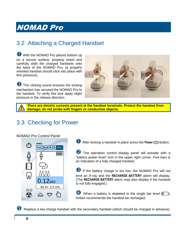### <span id="page-11-0"></span>3.2 Attaching a Charged Handset

**U** With the NOMAD Pro placed bottom up on a secure surface, properly orient and carefully slide the charged handsets onto the base of the NOMAD Pro, (a properly oriented handset should click into place with firm pressure).

**2** The clicking sound ensures the locking mechanism has secured the NOMAD Pro to the handset. To verify this lock apply slight pressure in the release direction.



**There are electric currents present at the handset terminals. Protect the handset from damage; do not probe with fingers or conductive objects.**

#### <span id="page-11-1"></span>3.3 Checking for Power



After locking a handset in place press the **Power ( )** button.

**2** The operation control display panel will activate with a "battery power level" icon in the upper right corner. Five bars is an indication of a fully charged handset.

 If the battery charge is too low, the NOMAD Pro will not emit an X-ray and the **RECHARGE BATTERY** alarm will display. (The **RECHARGE BATTERY** alarm may also display if the handset is not fully engaged.)

When a battery is depleted to the single bar level  $($ Aribex recommends the handset be recharged.

Replace a low charge handset with the secondary handset (which should be charged in advance).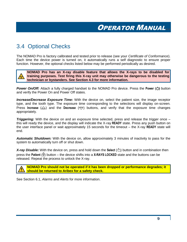#### <span id="page-12-0"></span>3.4 Optional Checks

The NOMAD Pro is factory calibrated and tested prior to release (see your *Certificate of Conformance*). Each time the device power is turned on, it automatically runs a self diagnostic to ensure proper function. However, the optional checks listed below may be performed periodically as desired.

**NOMAD Pro has an X-ray disable feature that allows the X-rays to be disabled for training purposes. Test firing this X-ray unit may otherwise be dangerous to the testing technician or bystanders. See Section 4.3 for more information.**

*Power On/Off:* Attach a fully charged handset to the NOMAD Pro device. Press the **Power ( )** button and verify the Power On and Power Off states.

*Increase/Decrease Exposure Time:* With the device on, select the patient size, the image receptor type, and the tooth type. The exposure time corresponding to the selections will display on-screen. Press **Increase** ( $\triangle$ ) and the **Decrease** ( $\Rightarrow$ ) buttons, and verify that the exposure time changes appropriately.

**Triggering:** With the device on and an exposure time selected, press and release the trigger once – this will ready the device, and the display will indicate the X-ray **READY** state. Press any push button on the user interface panel or wait approximately 15 seconds for the timeout – the X-ray **READY** state will end.

*Automatic Shutdown:* With the device on, allow approximately 3 minutes of inactivity to pass for the system to automatically turn off or shut down.

*X-ray Disable:* With the device on, press and hold down the Select  $(\bigcirc)$  button and in combination then press the **Patient** ( $\hat{\mathbf{H}}$ ) button – the device shifts into a **X-RAYS LOCKED** state and the buttons can be released. Repeat the process to unlock the X-ray.

**NOMAD Pro should not be operated if it has been dropped or performance degrades; it should be returned to Aribex for a safety check.**

See Section 6.1, *Alarms and Alerts* for more information.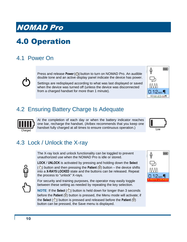## <span id="page-13-0"></span>4.0 Operation

### <span id="page-13-1"></span>4.1 Power On

Press and release **Power ( )** button to turn on NOMAD Pro. An audible double tone and an active display panel indicate the device has power.

Settings are redisplayed according to what was last displayed or saved when the device was turned off (unless the device was disconnected from a charged handset for more than 1 minute).



#### <span id="page-13-2"></span>4.2 Ensuring Battery Charge Is Adequate



At the completion of each day or when the battery indicator reaches one bar, recharge the handset. (Aribex recommends that you keep one handset fully charged at all times to ensure continuous operation.)



### <span id="page-13-3"></span>4.3 Lock / Unlock the X-ray

The X-ray lock and unlock functionality can be toggled to prevent unauthorized use when the NOMAD Pro is idle or stored.



**LOCK** / **UNLOCK** is activated by pressing and holding down the **Select** ( $\Diamond$ ) button and then pressing the **Patient** ( $\overline{H}$ ) button – the device shifts into a **X-RAYS LOCKED** state and the buttons can be released. Repeat the process to "unlock" X-rays.

For security and training purposes, the operator may easily toggle between these setting as needed by repeating the key selection.

**NOTE:** If the **Select**  $(\bigcirc)$  button is held down for longer than 3 seconds before the **Patient** ( $\ddot{\mathbf{f}}$ ) button is pressed, the Menu mode will activate; if the **Select** ( $\binom{A}{1}$ ) button is pressed and released before the **Patient** ( $\widehat{H}$ ) button can be pressed, the Save menu is displayed.

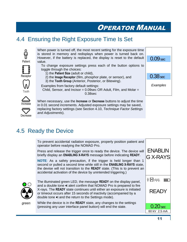#### <span id="page-14-0"></span>4.4 Ensuring the Right Exposure Time Is Set





Tooth

Patient

value.

Receptor

Decrease

When necessary, use the **Increase** or **Decrease** buttons to adjust the time in 0.01 second increments. Adjusted exposure settings may be saved, replacing factory settings (see Section 4.10, *Technique Factor Settings and Adjustments*).

#### <span id="page-14-1"></span>4.5 Ready the Device

To prevent accidental radiation exposure, properly position patient and operator before readying the NOMAD Pro.

Press and release the trigger once to ready the device. The device will briefly display an **ENABLING X-RAYS** message before indicating **READY**.

**NOTE**: As a safety precaution, if the trigger is held longer than 1 second or pulled a second time while still in the **ENABLING X-RAYS** state, the devise will not transition to the **READY** state. (This is to prevent an accidental activation of the device by unintended triggering.)



*green*

The illuminated green LED, the message **READY** on the display panel, and a double tone  $\triangleleft$  alert confirm that NOMAD Pro is prepared to fire X-rays. The **READY** state continues until either an exposure is initiated or timeout occurs after 15 seconds of inactivity (accompanied by a double tone  $\triangleleft$  and the return to the Settings mode).

While the device is in the **READY** state, any changes to the settings (pressing any user interface panel button) will end the state.

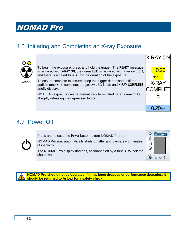### <span id="page-15-0"></span>4.6 Initiating and Completing an X-ray Exposure



To begin the exposure, press and hold the trigger. The **READY** message is replaced with **X-RAY ON**, the green LED is replaced with a yellow LED, and there is an alert tone  $\blacktriangleleft \epsilon$  for the duration of the exposure.

*yellow*

To ensure complete exposure, keep the trigger depressed until the audible tone  $\ll$  is complete, the yellow LED is off, and X-RAY COMPLETE briefly displays.

**NOTE**: An exposure can be prematurely terminated for any reason by abruptly releasing the depressed trigger.



#### <span id="page-15-1"></span>4.7 Power Off

Press and release the **Power** button to turn NOMAD Pro off.

NOMAD Pro also automatically shuts off after approximately 3 minutes of inactivity.

The NOMAD Pro display darkens, accompanied by a tone tto indicate shutdown.



**NOMAD Pro should not be operated if it has been dropped or performance degrades; it should be returned to Aribex for a safety check.**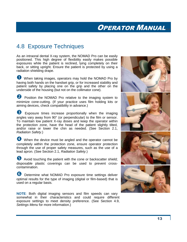#### <span id="page-16-0"></span>4.8 Exposure Techniques

As an intraoral dental X-ray system, the NOMAD Pro can be easily positioned. This high degree of flexibility easily makes possible exposures while the patient is reclined, lying completely on their back, or sitting upright. Ensure the patient is protected by using a radiation shielding drape.

When taking images, operators may hold the NOMAD Pro by having both hands on the handset grip, or for increased stability and patient safety by placing one on the grip and the other on the underside of the housing (but not on the collimator cone).

**2** Position the NOMAD Pro relative to the imaging system to minimize cone-cutting. (If your practice uses film holding kits or aiming devices, check compatibility in advance.)

 Exposure times increase proportionally when the imaging angles vary away from 90° (or perpendicular) to the film or sensor. To maintain low patient X-ray doses and keep the operator within the protection zone, have the head of the patient slightly tilted, and/or raise or lower the chin as needed. (See Section 2.1, *Radiation Safety*.)

When the device must be angled and the operator cannot be completely within the protection zone, ensure operator protection through the use of proper safety measures, such as the use of a lead apron. (See Section 2.1, *Radiation Safety*.)

**5** Avoid touching the patient with the cone or backscatter shield; disposable plastic coverings can be used to prevent crosscontamination.

**6** Determine what NOMAD Pro exposure time settings deliver optimal results for the type of imaging (digital or film-based) that is used on a regular basis.

**NOTE**: Both digital imaging sensors and film speeds can vary somewhat in their characteristics and could require different exposure settings to meet density preference. (See Section 4.9, *Settings Menu* for more information.)

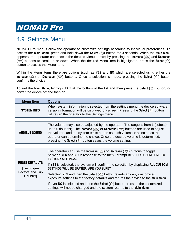### <span id="page-17-0"></span>4.9 Settings Menu

NOMAD Pro menus allow the operator to customize settings according to individual preferences. To access the Main Menu, press and hold down the Select ( $\Diamond$ ) button for 3 seconds. When the Main Menu appears, the operator can access the desired Menu item(s) by pressing the **Increase** ( $\triangle$ ) and **Decrease**  $(\nabla)$  buttons to scroll up or down. When the desired Menu item is highlighted, press the **Select**  $(\Diamond)$ button to access the Menu item.

Within the Menu items there are options (such as **YES** and **NO** which are selected using either the **Increase**  $(\triangle)$  or **Decrease** ( $\Rightarrow$ ) buttons. Once a selection is made, pressing the **Select** ( $\langle \cdot \rangle$ ) button confirms the choice.

To exit the Main Menu, highlight **EXIT** at the bottom of the list and then press the Select ( $\Diamond$ ) button, or power the device off and then on.

| <b>Menu Item</b>                     | <b>Options</b>                                                                                                                                                                                                                                                                                                                                                                                                                           |  |
|--------------------------------------|------------------------------------------------------------------------------------------------------------------------------------------------------------------------------------------------------------------------------------------------------------------------------------------------------------------------------------------------------------------------------------------------------------------------------------------|--|
| <b>SYSTEM INFO</b>                   | When system information is selected from the settings menu the device software<br>version information will be displayed on-screen. Pressing the Select $(\Diamond)$ button<br>will return the operator to the Settings menu.                                                                                                                                                                                                             |  |
|                                      |                                                                                                                                                                                                                                                                                                                                                                                                                                          |  |
| <b>AUDIBLE SOUND</b>                 | The volume may also be adjusted by the operator. The range is from 1 (softest),<br>up to 5 (loudest). The <b>Increase</b> ( $\triangle$ ) or <b>Decrease</b> ( $\Rightarrow$ ) buttons are used to adjust<br>the volume, and the system emits a tone as each volume is selected so the<br>operator can determine the choice. Once the desired volume is determined,<br>pressing the Select $(\Diamond)$ button saves the volume setting. |  |
|                                      |                                                                                                                                                                                                                                                                                                                                                                                                                                          |  |
|                                      | The operator can use the <b>Increase</b> ( $\triangle$ ) or <b>Decrease</b> ( $\overline{\heartsuit}$ ) buttons to toggle<br>between YES and NO in response to the menu prompt RESET EXPOSURE TIME TO<br><b>FACTORY SETTINGS?</b>                                                                                                                                                                                                        |  |
| <b>RESET DEFAULTS</b><br>[Technique] | If YES is selected, the system will confirm the selection by displaying ALL CUSTOM<br>SETTINGS WILL BE ERASED. ARE YOU SURE?                                                                                                                                                                                                                                                                                                             |  |
| Factors and Trip<br>Counter]         | Selecting YES and then the Select $(\bigcirc)$ button reverts any any customized<br>exposure settings to the factory defaults and returns the device to the Main Menu.                                                                                                                                                                                                                                                                   |  |
|                                      | If ever NO is selected and then the Select $(\circlearrowright)$ button pressed, the customized<br>settings will not be changed and the system returns to the Main Menu.                                                                                                                                                                                                                                                                 |  |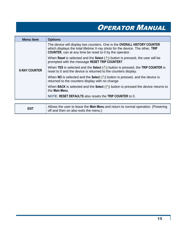| <b>Menu Item</b>     | <b>Options</b>                                                                                                                                                                                                              |
|----------------------|-----------------------------------------------------------------------------------------------------------------------------------------------------------------------------------------------------------------------------|
|                      | The device will display two counters. One is the OVERALL HISTORY COUNTER<br>which displays the total lifetime X-ray shots for the device. The other, TRIP<br><b>COUNTER, can at any time be reset to 0 by the operator.</b> |
|                      | When Reset is selected and the Select $(\bigcirc)$ button is pressed, the user will be<br>prompted with the message RESET TRIP COUNTER?                                                                                     |
| <b>X-RAY COUNTER</b> | When YES is selected and the Select $(\bigcirc)$ button is pressed, the TRIP COUNTER is<br>reset to 0 and the device is returned to the counters display.                                                                   |
|                      | When NO is selected and the Select $(\Diamond)$ button is pressed, and the device is<br>returned to the counters display with no change                                                                                     |
|                      | When BACK is selected and the Select $(\Diamond)$ button is pressed the device returns to<br>the Main Menu.                                                                                                                 |
|                      | NOTE: RESET DEFAULTS also resets the TRIP COUNTER to 0.                                                                                                                                                                     |
|                      |                                                                                                                                                                                                                             |

| <b>EXIT</b> | Allows the user to leave the Main Menu and return to normal operation. (Powering |
|-------------|----------------------------------------------------------------------------------|
|             | off and then on also exits the menu.)                                            |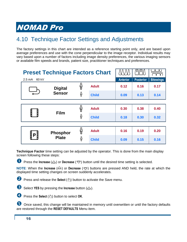### <span id="page-19-0"></span>4.10 Technique Factor Settings and Adjustments

The factory settings in this chart are intended as a reference starting point only, and are based upon average preferences and use with the cone perpendicular to the image receptor. Individual results may vary based upon a number of factors including image density preferences, the various imaging sensors or available film speeds and brands, patient size, practitioner techniques and preferences.

| <b>Preset Technique Factors Chart</b> |                 |              | ىس           |                 |                  |                  |  |
|---------------------------------------|-----------------|--------------|--------------|-----------------|------------------|------------------|--|
| 60 kV<br>$2.5 \text{ mA}$             |                 |              |              | <b>Anterior</b> | <b>Posterior</b> | <b>Bitewings</b> |  |
|                                       | <b>Digital</b>  | မှို         | <b>Adult</b> | 0.12            | 0.16             | 0.17             |  |
|                                       | <b>Sensor</b>   | မှို         | <b>Child</b> | 0.09            | 0.13             | 0.14             |  |
|                                       |                 |              |              |                 |                  |                  |  |
|                                       |                 | မှို         | <b>Adult</b> | 0.30            | 0.38             | 0.40             |  |
|                                       | <b>Film</b>     | မှို         | <b>Child</b> | 0.18            | 0.30             | 0.32             |  |
|                                       |                 |              |              |                 |                  |                  |  |
|                                       | <b>Phosphor</b> | မှို         | <b>Adult</b> | 0.16            | 0.19             | 0.20             |  |
| РI<br><b>Plate</b>                    | မှို            | <b>Child</b> | 0.09         | 0.15            | 0.16             |                  |  |

**Technique Factor** time setting can be adjusted by the operator. This is done from the main display screen following these steps:

**D** Press the **Increase** ( $\triangle$ ) or **Decrease** ( $\heartsuit$ ) button until the desired time setting is selected.

**NOTE:** When the **Increase**  $(\triangle)$  or **Decrease**  $(\nabla)$  buttons are pressed AND held, the rate at which the displayed time setting changes on screen suddenly accelerates.

**2** Press and release the **Select** ( $\Diamond$ ) button to activate the Save menu.

Select **YES** by pressing the **Increase** button ( $\triangle$ ).

**4** Press the **Select** ( $\Diamond$ ) button to select OK.

Once saved, this change will be maintained in memory until overwritten or until the factory defaults are restored through the **RESET DEFAULTS** Menu item.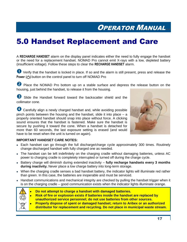## <span id="page-20-0"></span>5.0 Handset Replacement and Care

A **RECHARGE HANDSET** alarm on the display panel indicates either the need to fully engage the handset or the need for a replacement handset. NOMAD Pro cannot emit X-rays with a low, depleted battery (insufficient voltage). Follow these steps to clear the **RECHARGE HANDSET** alarm.

 Verify that the handset is locked in place. If so and the alarm is still present, press and release the **Power ( )** button on the control panel to turn off NOMAD Pro

**2** Place the NOMAD Pro bottom up on a stable surface and depress the release button on the housing, just behind the handset, to release it from the housing.

Slide the Handset forward toward the backscatter shield and the collimator cone.

4 Carefully align a newly charged handset and, while avoiding possible pinch points between the housing and the handset, slide it into place – a properly oriented handset should snap into place without force. A clicking sound ensures that the handset is fastened. Make sure the handset is secure by pushing it toward the cone. When a handset is detached for more than 60 seconds, the last exposure setting is erased (and would have to be reset when the unit is turned on again).



#### **IMPORTANT HANDSET CARE NOTES:**

- Each handset can go through the full discharge/charge cycle approximately 300 times. Routinely change discharged handset with fully charged one as needed.
- The handset can be left indefinitely on the charging cradle without damaging batteries, unless AC power to charging cradle is completely interrupted or turned off during the charge cycle.
- Battery charge will diminish during extended inactivity **fully recharge handsets every 3 months during inactivity.** Never place a low charge battery into long-term storage.
- When the charging cradle senses a bad handset battery, the indicator lights will illuminate red rather than green. In this case, the batteries are inoperable and must be serviced.
- Handset communications and mechanical integrity are checked by pulling the handset trigger when it is on the charging cradle – good communication exists when the indicator lights illuminate orange.



- **Do not attempt to charge a handset with damaged batteries.**
- **Risk of fire or explosion exists if batteries inside the handset are replaced by unauthorized service personnel; do not use batteries from other sources.**
- **Properly dispose of spent or damaged handset; return to Aribex or an authorized distributor for replacement and recycling. Do not place in municipal waste stream.**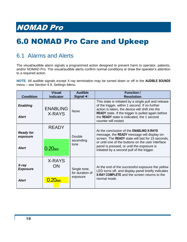## <span id="page-21-0"></span>6.0 NOMAD Pro Care and Upkeep

### <span id="page-21-1"></span>6.1 Alarms and Alerts

The visual/audible alarm signals a programmed action designed to prevent harm to operator, patients, and/or NOMAD Pro. The visual/audible alerts confirm normal conditions or draw the operator's attention to a required action.

**NOTE**: All audible signals except X-ray termination may be turned down or off in the **AUDIBLE SOUNDS** menu – see Section 4.9, *Settings Menu*.

| <b>Condition</b>                             | Visual<br><b>Indicator</b>          | <b>Audible</b><br><b>Signal &lt; €</b>      | <b>Function /</b><br><b>Resolution</b>                                                                                                                                                                                                                                                                      |
|----------------------------------------------|-------------------------------------|---------------------------------------------|-------------------------------------------------------------------------------------------------------------------------------------------------------------------------------------------------------------------------------------------------------------------------------------------------------------|
| <b>Enabling</b><br><b>Alert</b>              | <b>ENABLING</b><br>X-RAYS           | None                                        | This state is initiated by a single pull and release<br>of the trigger, within 1 second. If no further<br>action is taken, the device will shift into the<br><b>READY</b> state. If the trigger is pulled again before<br>the READY state is indicated, the 1 second<br>counter will restart.               |
| <b>Ready for</b><br>exposure<br><b>Alert</b> | <b>READY</b><br>$0.20$ sec          | Double<br>ascending<br>tone                 | At the conclusion of the <b>ENABLING X-RAYS</b><br>message, the <b>READY</b> message will display on-<br>screen. The READY state will last for 15 seconds,<br>or until one of the buttons on the user interface<br>panel is pressed, or until the exposure is<br>initiated by a second pull of the trigger. |
| X-ray<br><b>Exposure</b><br><b>Alert</b>     | X-RAYS<br>ON<br>0.20 <sub>sec</sub> | Single tone,<br>for duration of<br>exposure | At the end of the successful exposure the yellow<br>LED turns off, and display panel briefly indicates<br>X-RAY COMPLETE and the screen returns to the<br>normal mode.                                                                                                                                      |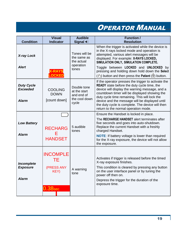| <b>Condition</b>                                     | <b>Visual</b><br><b>Indicator</b>                             | <b>Audible</b><br>Signal <                                          | <b>Function /</b><br><b>Resolution</b>                                                                                                                                                                                                                                                                                                                                                                               |
|------------------------------------------------------|---------------------------------------------------------------|---------------------------------------------------------------------|----------------------------------------------------------------------------------------------------------------------------------------------------------------------------------------------------------------------------------------------------------------------------------------------------------------------------------------------------------------------------------------------------------------------|
| <b>X-ray Lock</b><br><b>Alert</b>                    | OCKED                                                         | Tones will be<br>the same as<br>the actual<br>operation<br>tones    | When the trigger is activated while the device is<br>in the X-rays locked mode and operation is<br>attempted, various alert messages will be<br>displayed. For example: X-RAYS LOCKED,<br>SIMULATION ONLY, SIMULATION COMPLETE.<br>Toggle between LOCKED and UNLOCKED by<br>pressing and holding down hold down the Select<br>( $\Diamond$ ) button and then press the <b>Patient</b> ( $\hat{\mathbf{F}}$ ) button. |
| <b>Duty Cycle</b><br><b>Exceeded</b><br><b>Alarm</b> | <b>COOLING</b><br><b>DOWN</b><br>[count down]                 | Double tone<br>at the start<br>and end of<br>the cool down<br>cycle | If the operator presses the trigger to activate the<br><b>READY</b> state before the duty cycle time, the<br>device will display the warning message, and a<br>countdown timer will be displayed showing the<br>duty cycle time remaining. This will lock the<br>device and the message will be displayed until<br>the duty cycle is complete. The device will then<br>return to the normal operation mode.          |
| <b>Low Battery</b><br><b>Alarm</b>                   | <b>RECHARG</b><br>E<br><b>HANDSET</b>                         | 5 audible<br>tones                                                  | Ensure the Handset is locked in place.<br>The RECHARGE HANDSET alert terminates after<br>five seconds and goes into auto-shutdown.<br>Replace the current Handset with a freshly<br>charged Handset.<br><b>NOTE:</b> If battery voltage is lower than required<br>for the X-ray exposure, the device will not allow<br>the exposure.                                                                                 |
| Incomplete<br><b>Exposure</b><br><b>Alarm</b>        | <b>INCOMPLE</b><br>TЕ<br>(PRESS ANY<br>KEY)<br>$0.38\rm{sec}$ | A warning<br>tone                                                   | Activates if trigger is released before the timed<br>X-ray exposure finishes.<br>This condition is cleared by pressing any button<br>on the user interface panel or by tuning the<br>power off then on.<br>Depress the trigger for the duration of the<br>exposure time.                                                                                                                                             |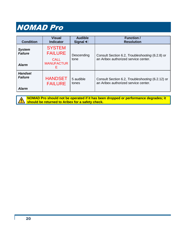| <b>Condition</b>                                 | <b>Visual</b><br><b>Indicator</b>                                        | <b>Audible</b><br>Signal $\blacktriangleleft$ | <b>Function /</b><br><b>Resolution</b>                                                   |
|--------------------------------------------------|--------------------------------------------------------------------------|-----------------------------------------------|------------------------------------------------------------------------------------------|
| <b>System</b><br><b>Failure</b><br><b>Alarm</b>  | <b>SYSTEM</b><br><b>FAILURE</b><br><b>CALL</b><br><b>MANUFACTUR</b><br>Е | Descending<br>tone                            | Consult Section 6.2, Troubleshooting (6.2.8) or<br>an Aribex authorized service center.  |
| <b>Handset</b><br><b>Failure</b><br><b>Alarm</b> | <b>HANDSET</b><br><b>FAILURE</b>                                         | 5 audible<br>tones                            | Consult Section 6.2, Troubleshooting (6.2.12) or<br>an Aribex authorized service center. |

**NOMAD Pro should not be operated if it has been dropped or performance degrades; it**   $\hat{\mathbf{r}}$ **should be returned to Aribex for a safety check.**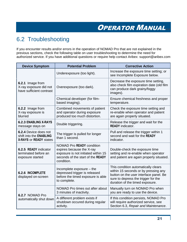### <span id="page-24-0"></span>6.2 Troubleshooting

If you encounter results and/or errors in the operation of NOMAD Pro that are not explained in the previous sections, check the following table on user troubleshooting to determine the need for authorized service. If you have additional questions or require help contact Aribex: support@aribex.com

| <b>Device Symptom</b>                                                                    | <b>Potential Problem</b>                                                                                                                                | <b>Corrective Action</b>                                                                                                                                                                        |  |
|------------------------------------------------------------------------------------------|---------------------------------------------------------------------------------------------------------------------------------------------------------|-------------------------------------------------------------------------------------------------------------------------------------------------------------------------------------------------|--|
|                                                                                          | Underexposure (too light).                                                                                                                              | Increase the exposure time setting; or<br>see Incomplete Exposure below.                                                                                                                        |  |
| 6.2.1 Image from<br>X-ray exposure did not<br>have sufficient contrast                   | Overexposure (too dark).                                                                                                                                | Decrease the exposure time setting,<br>also check film expiration date (old film<br>can produce dark grainy/foggy<br>images).                                                                   |  |
|                                                                                          | Chemical developer (for film-<br>based imaging).                                                                                                        | Ensure chemical freshness and proper<br>temperature.                                                                                                                                            |  |
| 6.2.2 Image from<br>X-ray exposure is<br>blurred                                         | Combined movements of patient<br>and operator during exposure<br>produced too much distortion.                                                          | Check the exposure time setting and<br>re-enable when operator and patient<br>are again properly situated.                                                                                      |  |
| <b>6.2.3 ENABLING X-RAYS</b><br>message stays on                                         | Double triggering.                                                                                                                                      | Release the trigger and wait for the<br><b>READY</b> indicator.                                                                                                                                 |  |
| 6.2.4 Device does not<br>shift into the <b>ENABLING</b><br><b>X-RAYS or READY states</b> | The trigger is pulled for longer<br>than 1 second.                                                                                                      | Pull and release the trigger within 1<br>second and wait for the READY<br>indicator.                                                                                                            |  |
| 6.2.5 READY indicator<br>terminated before an<br>exposure started                        | <b>NOMAD Pro READY condition</b><br>expires because the X-ray<br>exposure is not initiated within 15<br>seconds of the start of the READY<br>condition. | Double-check the exposure time<br>setting and re-enable when operator<br>and patient are again properly situated.                                                                               |  |
| <b>6.2.6 INCOMPLETE</b><br>displayed on-screen                                           | Incomplete exposure - the<br>depressed trigger is released<br>before the timed exposure is able<br>to complete.                                         | This condition automatically clears<br>within 15 seconds or by pressing any<br>button on the user interface panel. Be<br>sure to depress the trigger for the<br>duration of the timed exposure. |  |
| 6.2.7 NOMAD Pro                                                                          | NOMAD Pro times out after about<br>3 minutes of inactivity.                                                                                             | Manually turn on NOMAD Pro when<br>you are ready to use the device.                                                                                                                             |  |
| automatically shut down                                                                  | A different problem exists if<br>shutdown occured during regular<br>activity.                                                                           | If this condition persists, NOMAD Pro<br>will require authorized service, see<br>Section 6.3, Repair and Maintenance.                                                                           |  |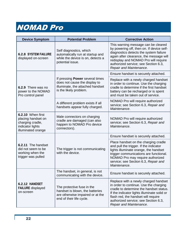| <b>Device Symptom</b>                                                                                 | <b>Potential Problem</b>                                                                                                       | <b>Corrective Action</b>                                                                                                                                                                                                                                                           |
|-------------------------------------------------------------------------------------------------------|--------------------------------------------------------------------------------------------------------------------------------|------------------------------------------------------------------------------------------------------------------------------------------------------------------------------------------------------------------------------------------------------------------------------------|
| <b>6.2.8 SYSTEM FAILURE</b><br>displayed on-screen                                                    | Self diagnostics, which<br>automatically run at startup and<br>while the device is on, detects a<br>potential issue.           | This warning message can be cleared<br>by powering off, then on. If device self-<br>diagnostics detects the system failure<br>again after clearance, the message will<br>redisplay and NOMAD Pro will require<br>authorized service; see Section 6.3,<br>Repair and Maintenance.   |
|                                                                                                       |                                                                                                                                | Ensure handset is securely attached.                                                                                                                                                                                                                                               |
| 6.2.9 There was no<br>power to the NOMAD<br>Pro control panel                                         | If pressing Power several times<br>does not cause the display to<br>illuminate, the attached handset<br>is the likely problem. | Replace with a newly charged handset<br>in order to continue. Use the charging<br>cradle to determine if the first handset<br>battery can be recharged or is spent<br>and must be taken out of service.                                                                            |
|                                                                                                       | A different problem exists if all<br>handsets appear fully charged.                                                            | NOMAD Pro will require authorized<br>service; see Section 6.3, Repair and<br>Maintenance.                                                                                                                                                                                          |
| 6.2.10 When first<br>placing handset on<br>charging cradle,<br>indicator lights<br>illuminated orange | Male connectors on charging<br>cradle are damaged (can also<br>happen to NOMAD Pro device<br>connectors).                      | NOMAD Pro will require authorized<br>service; see Section 6.3, Repair and<br>Maintenance.                                                                                                                                                                                          |
|                                                                                                       |                                                                                                                                | Ensure handset is securely attached.                                                                                                                                                                                                                                               |
| 6.2.11 The handset<br>did not seem to be<br>working when the<br>trigger was pulled                    | The trigger is not communicating<br>with the device.                                                                           | Place handset on the charging cradle<br>and pull the trigger. If the indicator<br>lights illuminate orange, the handset<br>trigger communications are functional.<br>NOMAD Pro may require authorized<br>service; see Section 6.3, Repair and<br>Maintenance.                      |
|                                                                                                       | The handset, in general, is not<br>communicating with the device.                                                              | Ensure handset is securely attached.                                                                                                                                                                                                                                               |
| 6.2.12 HANDSET<br><b>FAILURE</b> displayed<br>on-screen                                               | The protective fuse in the<br>handset is blown, the batteries<br>are otherwise impaired or at the<br>end of their life cycle.  | Replace with a newly charged handset<br>in order to continue. Use the charging<br>cradle to determine the handset status.<br>If the indicator lights illuminate solid or<br>flash red, the handset will require<br>authorized service; see Section 6.3,<br>Repair and Maintenance. |

L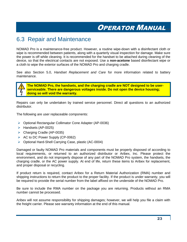#### <span id="page-26-0"></span>6.3 Repair and Maintenance

NOMAD Pro is a maintenance-free product. However, a routine wipe-down with a disinfectant cloth or wipe is recommended between patients, along with a quarterly visual inspection for damage. Make sure the power is off while cleaning. It is recommended for the handset to be attached during cleaning of the device, so that the electrical contacts are not exposed. Use a **non-acetone** based disinfectant wipe or a cloth to wipe the exterior surfaces of the NOMAD Pro and charging cradle.

See also Section 5.0, *Handset Replacement and Care* for more information related to battery maintenance.



**The NOMAD Pro, the handsets, and the charging cradle are NOT designed to be userserviceable. There are dangerous voltages inside. Do not open the device housing; doing so will void the warranty.**

Repairs can only be undertaken by trained service personnel. Direct all questions to an authorized distributor.

The following are user replaceable components:

- Optional Rectangular Collimator Cone Adapter (AP-0036)
- $\blacktriangleright$  Handsets (AP-0025)
- Charging Cradle (AP-0035)
- $\triangleright$  AC to DC Power Supply (CP-0062)
- Optional Hard-Shell Carrying Case, plastic (AC-0004)

Damaged or faulty NOMAD Pro materials and components must be properly disposed of according to local requirements, or returned to an authorized distributor or Aribex, Inc. Please protect the environment, and do not improperly dispose of any part of the NOMAD Pro system, the handsets, the charging cradle, or the AC power supply. At end of life, return these items to Aribex for replacement, and proper disposal or recycling.

If product return is required, contact Aribex for a Return Material Authorization (RMA) number and shipping instructions to return the product to the proper facility. If the product is under warranty, you will be required to provide the serial number from the label affixed on the underside of the NOMAD Pro.

Be sure to include the RMA number on the package you are returning. Products without an RMA number cannot be processed.

Aribex will not assume responsibility for shipping damages; however, we will help you file a claim with the freight carrier. Please see warranty information at the end of this manual.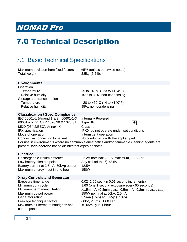## <span id="page-27-0"></span>7.0 Technical Description

#### <span id="page-27-1"></span>7.1 Basic Technical Specifications

| Maximum deviation from fixed factors | ±5% (unless otherwise noted) |
|--------------------------------------|------------------------------|
| Total weight                         | 2.5kg (5.5 lbs)              |

#### **Environmental**

| Operation                  |                                                     |
|----------------------------|-----------------------------------------------------|
| Temperature                | $-5$ to $+40^{\circ}$ C (+23 to $+104^{\circ}$ F)   |
| Relative humidity          | 10% to 80%, non-condensing                          |
| Storage and transportation |                                                     |
| Temperature                | $-20$ to +60 $^{\circ}$ C (-4 to +140 $^{\circ}$ F) |
| Relative humidity          | 95%, non-condensing                                 |

#### **Classification / Spec Compliance**

| IEC 60601-1 (Amend 1 & 2), 60601-1-3,                                                       | <b>Internally Powered</b>                 |  |  |  |
|---------------------------------------------------------------------------------------------|-------------------------------------------|--|--|--|
| 60601-2-7; 21 CFR 1020.30 & 1020.31                                                         | Type BF<br>  እ†                           |  |  |  |
| MDD (93/42/EEC): Annex IX                                                                   | Class IIb                                 |  |  |  |
| IPX specification                                                                           | IPX0; do not operate under wet conditions |  |  |  |
| Mode of operation                                                                           | Intermittent operation                    |  |  |  |
| Conductive connection to patient                                                            | No conductivity with the applied part     |  |  |  |
| For use in environments where no flammable anesthetics and/or flammable cleaning agents are |                                           |  |  |  |

present; **non-acetone** based disinfectant wipes or cloths.

#### **Electrical**

| Rechargeable lithium batteries         | 22.2V |
|----------------------------------------|-------|
| Low battery alert set point            | Any c |
| Battery current at 2.5mA, 60kVp output | 12.5A |
| Maximum energy input in one hour       | 150W  |

22.2V nominal; 25.2V maximum, 1.25A/hr Any cell (of the  $6$ ) <3.5V

#### **X-ray Controls and Generator**

| Exposure time range                                 | 0.02–1.00 sec. (in 0.01 second increments)                 |
|-----------------------------------------------------|------------------------------------------------------------|
| Minimum duty cycle                                  | 1:60 (one 1 second exposure every 60 seconds)              |
| Minimum permanent filtration                        | $\geq$ 1.5mm AI (0.8mm glass, 0.5mm AI, 0.2mm plastic cap) |
| Maximum output power                                | 150W nominal at 60kV, 2.5mA                                |
| Generator rating                                    | 2.5mA ( $\pm$ 5%) at 60kVp ( $\pm$ 10%)                    |
| Leakage technique factors                           | 60kV, 2.5mA, 1.00 sec.                                     |
| Maximum air kerma at handgrips and<br>control panel | <0.05mGy in 1 hour                                         |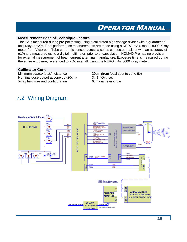#### **Measurement Base of Technique Factors**

The kV is measured during pre-pot testing using a calibrated high voltage divider with a guaranteed accuracy of ±2%. Final performance measurements are made using a NERO mAx, model 8000 X-ray meter from Victoreen. Tube current is sensed across a series connected resistor with an accuracy of ±1% and measured using a digital multimeter, prior to encapsulation; NOMAD Pro has no provision for external measurement of beam current after final manufacture. Exposure time is measured during the entire exposure, referenced to 75% rise/fall, using the NERO mAx 8000 x-ray meter.

#### **Collimator Cone**

Minimum *source to skin* distance 20cm (from focal spot to cone tip) Nominal dose output at cone tip (20cm) 3.41mGy / sec.<br>X-rav field size and configuration 6cm diameter circle X-ray field size and configuration

#### <span id="page-28-0"></span>7.2 Wiring Diagram

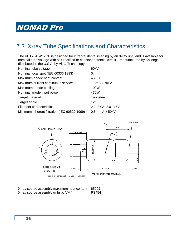### <span id="page-29-0"></span>7.3 X-ray Tube Specifications and Characteristics

The VDT70/0.4/12CP is designed for intraoral dental imaging by an X-ray unit, and is available for nominal tube voltage with self-rectified or constant potential circuit – manufactured by Kailong; distributed in the U.S.A. by Vista Technology.

| Nominal tube voltage                         | 60kV                        |
|----------------------------------------------|-----------------------------|
| Nominal focal spot (IEC 60336:1993)          | 0.4 <sub>mm</sub>           |
| Maximum anode heat content                   | 4500J                       |
| Maximum current continuous service           | 1.5mA x 70kV                |
| Maximum anode cooling rate                   | 100W                        |
| Nominal anode input power                    | 430W                        |
| Target material                              | Tungsten                    |
| Target angle                                 | $12^{\circ}$                |
| <b>Filament characteristics</b>              | $2.2 - 3.0A$ , $2.0 - 3.5V$ |
| Minimum inherent filtration (IEC 60522:1999) | $0.8$ mm Al / $50kV$        |



| X-ray source assembly maximum heat content | 6500J        |
|--------------------------------------------|--------------|
| X-ray source assembly (mfg by VMI)         | <b>PS454</b> |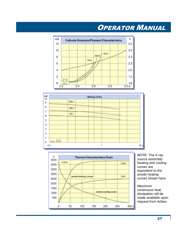





**NOTE**: The X-ray source assembly heating and cooling curves are equivalent to the anode heating curves shown here.

Maximum continuous heat dissipation will be made available upon request from Aribex.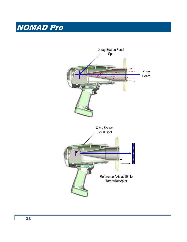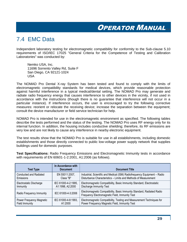#### <span id="page-32-0"></span>7.4 EMC Data

Independent laboratory testing for electromagnetic compatibility for conformity to the Sub-clause 5.10 requirements of ISO/IEC 17025 "General Criteria for the Competence of Testing and Calibration Laboratories" was conducted by:

Nemko USA, Inc. 11696 Sorrento Valley Rd, Suite F San Diego, CA 92121-1024 USA

The NOMAD Pro Dental X-ray System has been tested and found to comply with the limits of electromagnetic compatibility standards for medical devices, which provide reasonable protection against harmful interference in a typical medical/dental setting. The NOMAD Pro may generate and radiate radio frequency energy that causes interference to other devices in the vicinity, if not used in accordance with the instructions (though there is no guarantee that interference will not occur in a particular instance). If interference occurs, the user is encouraged to try the following corrective measures: reorient or relocate the receiving device; increase the separation between the equipment; consult the device manufacturer or field service technician for help.

NOMAD Pro is intended for use in the electromagnetic environment as specified. The following tables describe the tests performed and the status of the testing. The NOMAD Pro uses RF energy only for its internal function. In addition, the housing includes conductive shielding; therefore, its RF emissions are very low and are not likely to cause any interference in nearby electronic equipment.

The test results show that the NOMAD Pro is suitable for use in all establishments, including domestic establishments and those directly connected to public low-voltage power supply network that supplies buildings used for domestic purposes.

**Test Specifications:** Radio Frequency Emissions and Electromagnetic Immunity tests in accordance with requirements of EN 60601-1-2:2001, A1:2006 (as follows).

| <b>Test Type</b>         | In Accordance with<br><b>Document</b> | <b>Document Title</b>                                                                                                    |
|--------------------------|---------------------------------------|--------------------------------------------------------------------------------------------------------------------------|
| Conducted and Radiated   | EN 55011:2007,                        | Industrial, Scientific and Medical (ISM) Radiofrequency Equipment - Radio                                                |
| Emissions                | Class "B"                             | Disturbance Characteristics - Limits and Methods of Measurement                                                          |
| Electrostatic Discharge  | IEC 61000-4-2:1995,                   | Electromagnetic Compatibility, Basic Immunity Standard, Electrostatic                                                    |
| Immunity                 | A1:1998, A2:2000                      | <b>Discharge Immunity Test</b>                                                                                           |
| Radio Frequency Immunity | IEC 61000-4-3:2006                    | Electromagnetic Compatibility, Basic Immunity Standard, Radiated Radio<br>Frequency Electromagnetic Field, Immunity Test |
| Power Frequency Magnetic | IEC 61000-4-8:1993.                   | Electromagnetic Compatibility, Testing and Measurement Techniques for                                                    |
| Field Immunity           | A1:2000                               | Power Frequency Magnetic Field, Immunity Test                                                                            |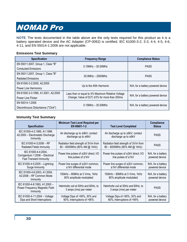**NOTE**: The tests documented in the table above are the only tests required for this product as it is a battery operated device and the AC Adapter (CP-0062) is certified. IEC 61000-3-2, 3-3, 4-4, 4-5, 4-6, 4-11, and EN 55014-1:2006 are not applicable.

#### **Emissions Test Summary**

| <b>Specification</b>                | <b>Frequency Range</b>                               | <b>Compliance Status</b>          |  |
|-------------------------------------|------------------------------------------------------|-----------------------------------|--|
| EN 55011:2007, Group 1, Class "B"   | $0.15$ MHz $-30.00$ MHz                              | <b>PASS</b>                       |  |
| <b>Conducted Emissions</b>          |                                                      |                                   |  |
| EN 55011:2007, Group 1, Class "B"   | $30.0$ MHz $-$ 2500MHz                               | <b>PASS</b>                       |  |
| <b>Radiated Emissions</b>           |                                                      |                                   |  |
| EN 61000-3-2:2000, A2:2005          | Up to the 40th Harmonic                              | N/A, for a battery powered device |  |
| Power Line Harmonics                |                                                      |                                   |  |
| EN 61000-3-3:1995, A1:2001, A2:2005 | Less than or equal to 4% Maximum Relative Voltage    |                                   |  |
| <b>Power Line Flicker</b>           | Change; Value of $D(T) \leq 3\%$ for more than 200ms | N/A, for a battery powered device |  |
| EN 55014-1:2006                     | $0.15$ MHz $-30.00$ MHz                              | N/A, for a battery powered device |  |
| Discontinuous Disturbance ("Click") |                                                      |                                   |  |

#### **Immunity Test Summary**

| <b>Specification</b>                                                                     | <b>Minimum Test Level Required per</b><br>EN 60601-1-2<br><b>Test Level Completed</b>                                                          |                                                               | Compliance<br><b>Status</b>          |
|------------------------------------------------------------------------------------------|------------------------------------------------------------------------------------------------------------------------------------------------|---------------------------------------------------------------|--------------------------------------|
| IEC 61000-4-2:1995, A1:1998,<br>A2:2000 - Electrostatic Discharge<br>Immunity            | Air discharge up to $\pm$ 8kV; contact<br>Air discharge up to $\pm$ 8kV; contact<br>discharge up to $\pm$ 6kV<br>discharge up to $\pm$ 6kV     |                                                               | <b>PASS</b>                          |
| IEC 61000-4-3:2006 - RF<br>Radiated Fields Immunity                                      | Radiation field strength of 3V/m from<br>Radiation field strength of 3V/m from<br>80 - 6000MHz (80% AM @ 1kHz)<br>80 - 6000MHz (80% AM @ 1kHz) |                                                               | <b>PASS</b>                          |
| IEC 61000-4-4:2004,<br>Corrigendum 1:2006 - Electrical<br><b>Fast Transient Immunity</b> | Power line pulses of ±2kV direct; I/O<br>line pulses of ±1kV                                                                                   | Power line pulses of ±2kV direct; I/O<br>line pulses of ±1kV  | N/A, for a battery<br>powered device |
| IEC 61000-4-5:2005 - Lightning<br>Surge Immunity                                         | Power line surges of ±2kV common,<br>±1kV differential mode                                                                                    | Power line surges of ±2kV common,<br>±1kV differential mode   | N/A, for a battery<br>powered device |
| IEC 61000-4-6:2003, A1:2004,<br>A2:2006 - RF Common Mode<br>Immunity                     | 150kHz – 80MHz at 3 Vrms, 1kHz<br>150kHz - 80MHz at 3 Vrms, 1kHz<br>80% amplitude modulated<br>80% amplitude modulated                         |                                                               | N/A, for a battery<br>powered device |
| IEC 61000-4-8:1993, A1:2000 -<br>Power Frequency Magnetic Field<br>Immunity              | Helmholtz coil at 50Hz and 60Hz, to<br>3 amps (rms) per meter                                                                                  | Helmholtz coil at 50Hz and 60Hz, to<br>3 amps (rms) per meter | <b>PASS</b>                          |
| IEC 61000-4-11:2004 - Voltage<br>Dips and Short Interruptions                            | Voltage Dips of >95%, 30% and<br>Voltage Dips of >95%, 30% and<br>60%; Interruptions of >95%<br>60%; Interruptions of >95%                     |                                                               | N/A, for a battery<br>powered device |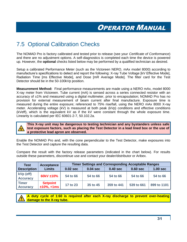### <span id="page-34-0"></span>7.5 Optional Calibration Checks

The NOMAD Pro is factory calibrated and tested prior to release (see your *Certificate of Conformance*) and there are no adjustment options. A self-diagnostics is completed each time the device is powered up. However, the **optional** checks listed below may be performed by a qualified technician as desired.

Setup a calibrated Performance Meter (such as the Victoreen NERO, mAx model 8000) according to manufacture's specifications to detect and report the following: X-ray Tube Voltage [kV Effective Mode], Radiation Time [ms Effective Mode], and Dose [mR Average Mode]. The filter card for the Test Detector should be in the 50-100kVp position.

**Measurement Method:** Final performance measurements are made using a NERO mAx, model 8000 X-ray meter from Victoreen. Tube current (mA) is sensed across a series connected resistor with an accuracy of ±1% and measured using a digital multimeter, prior to encapsulation; NOMAD Pro has no provision for external measurement of beam current after final manufacture. Exposure time is measured during the entire exposure; referenced to 75% rise/fall, using the NERO mAx 8000 X-ray meter. Accelerating voltage (kV) is measured at both peak (kVp) conditions and effective conditions (kVeff), which is the equivalent kV as if the kV were constant through the whole exposure time. Linearity is calculated per IEC 60601-2-7, 50.102.2a.



**This X-ray unit may be dangerous to testing technician and any bystanders unless safe test exposure factors, such as placing the Test Detector in a lead lined box or the use of a protective lead apron are observed.**

Enable the NOMAD Pro and, with the cone perpendicular to the Test Detector, make exposures into the Test Detector and capture the resulting data.

Compare the result with the factory release parameters (indicated in the chart below). For results outside these parameters, discontinue use and contact your dealer/distributor or Aribex.

| <b>Test</b>                     | <b>Timer Settings and Corresponding Acceptable Ranges</b><br>Acceptance |            |            |            |            |             |
|---------------------------------|-------------------------------------------------------------------------|------------|------------|------------|------------|-------------|
| <b>Description</b>              | <b>Limits</b>                                                           | $0.02$ sec | $0.04$ sec | $0.40$ sec | 0.60 sec   | $1.00$ sec  |
| kVp (eff)<br><b>Accuracy</b>    | 60kV ±10%                                                               | 54 to 66   | 54 to 66   | 54 to 66   | 54 to 66   | 54 to 66    |
| <b>Timer</b><br><b>Accuracy</b> | <b>Setpoint</b><br>$±10\%$ , +1ms                                       | 17 to 23   | 35 to 45   | 359 to 441 | 539 to 661 | 899 to 1101 |

**A duty cycle of 1:60 is required after each X-ray discharge to prevent over-heating damage to the X-ray tube.**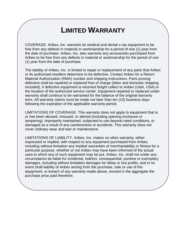## **LIMITED WARRANTY**

COVERAGE. Aribex, Inc. warrants its medical and dental x-ray equipment to be free from any defects in material or workmanship for a period of one (1) year from the date of purchase. Aribex, Inc. also warrants any accessories purchased from Aribex to be free from any defects in material or workmanship for the period of one (1) year from the date of purchase.

The liability of Aribex, Inc. is limited to repair or replacement of any parts that Aribex or its authorized resellers determine to be defective. Contact Aribex for a Return Material Authorization (RMA) number and shipping instructions. Parts proving defective shall be repaired or replaced free of charge (labor and domestic shipping included), if defective equipment is returned freight collect to Aribex (Utah, USA) or the location of the authorized service center. Equipment repaired or replaced under warranty shall continue to be warranted for the balance of the original warranty term. All warranty claims must be made not later than ten (10) business days following the expiration of the applicable warranty period.

LIMITATIONS OF COVERAGE. This warranty does not apply to equipment that is or has been abused, misused, or altered (including opening enclosure or tampering), improperly maintained, subjected to use beyond rated conditions, or damaged as a result of any carelessness or accidents. This warranty does not cover ordinary wear and tear or maintenance.

LIMITATIONS OF LIABILITY. Aribex, Inc. makes no other warranty, either expressed or implied, with respect to any equipment purchased from Aribex, including without limitation any implied warranties of merchantability or fitness for a particular purpose, whether or not Aribex may have been informed of the actual uses to which any of such equipment may be put. Aribex, Inc. shall not under any circumstance be liable for incidental, indirect, consequential, punitive or exemplary damages, including without limitation damages for delay or lost profits, and in no event shall liability of Aribex arising from the purchase, sale or use of the equipment, or breach of any warranty made above, exceed in the aggregate the purchase price paid therefore.